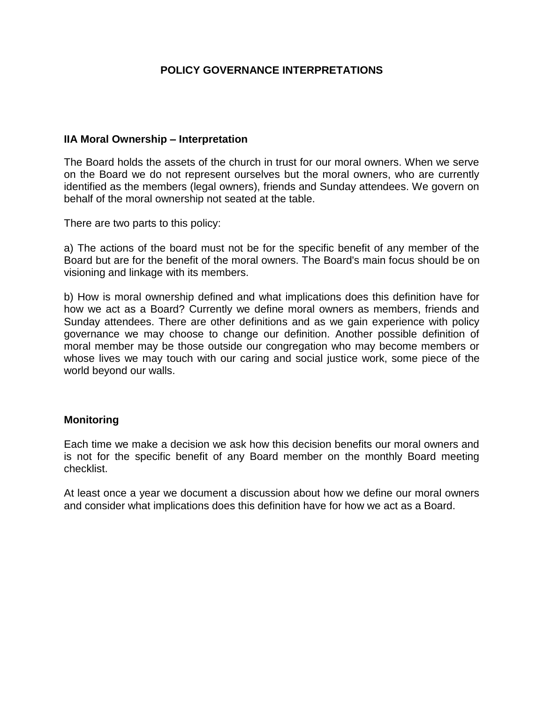## **POLICY GOVERNANCE INTERPRETATIONS**

### **IIA Moral Ownership – Interpretation**

The Board holds the assets of the church in trust for our moral owners. When we serve on the Board we do not represent ourselves but the moral owners, who are currently identified as the members (legal owners), friends and Sunday attendees. We govern on behalf of the moral ownership not seated at the table.

There are two parts to this policy:

a) The actions of the board must not be for the specific benefit of any member of the Board but are for the benefit of the moral owners. The Board's main focus should be on visioning and linkage with its members.

b) How is moral ownership defined and what implications does this definition have for how we act as a Board? Currently we define moral owners as members, friends and Sunday attendees. There are other definitions and as we gain experience with policy governance we may choose to change our definition. Another possible definition of moral member may be those outside our congregation who may become members or whose lives we may touch with our caring and social justice work, some piece of the world beyond our walls.

### **Monitoring**

Each time we make a decision we ask how this decision benefits our moral owners and is not for the specific benefit of any Board member on the monthly Board meeting checklist.

At least once a year we document a discussion about how we define our moral owners and consider what implications does this definition have for how we act as a Board.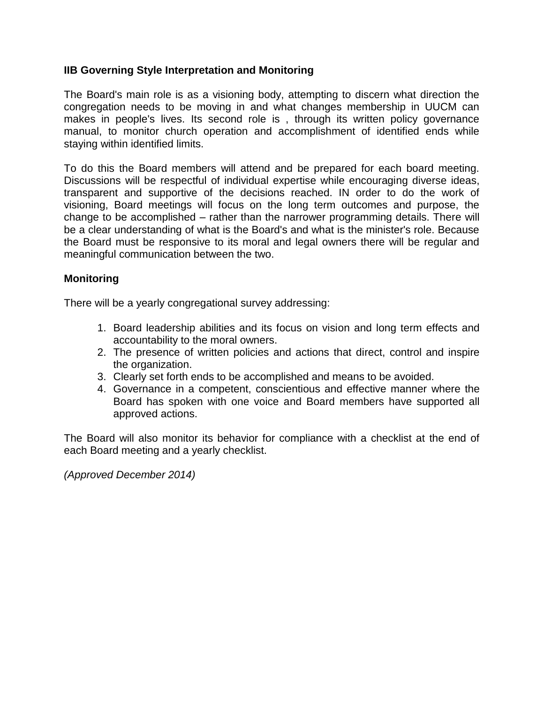### **IIB Governing Style Interpretation and Monitoring**

The Board's main role is as a visioning body, attempting to discern what direction the congregation needs to be moving in and what changes membership in UUCM can makes in people's lives. Its second role is , through its written policy governance manual, to monitor church operation and accomplishment of identified ends while staying within identified limits.

To do this the Board members will attend and be prepared for each board meeting. Discussions will be respectful of individual expertise while encouraging diverse ideas, transparent and supportive of the decisions reached. IN order to do the work of visioning, Board meetings will focus on the long term outcomes and purpose, the change to be accomplished – rather than the narrower programming details. There will be a clear understanding of what is the Board's and what is the minister's role. Because the Board must be responsive to its moral and legal owners there will be regular and meaningful communication between the two.

### **Monitoring**

There will be a yearly congregational survey addressing:

- 1. Board leadership abilities and its focus on vision and long term effects and accountability to the moral owners.
- 2. The presence of written policies and actions that direct, control and inspire the organization.
- 3. Clearly set forth ends to be accomplished and means to be avoided.
- 4. Governance in a competent, conscientious and effective manner where the Board has spoken with one voice and Board members have supported all approved actions.

The Board will also monitor its behavior for compliance with a checklist at the end of each Board meeting and a yearly checklist.

*(Approved December 2014)*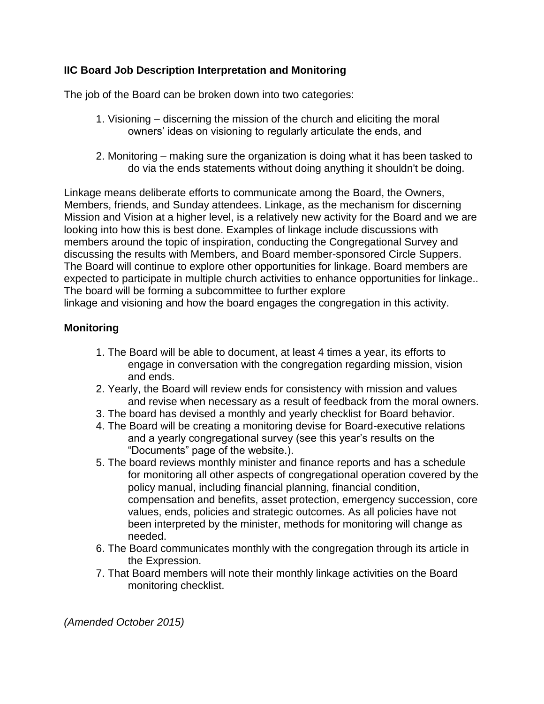## **IIC Board Job Description Interpretation and Monitoring**

The job of the Board can be broken down into two categories:

- 1. Visioning discerning the mission of the church and eliciting the moral owners' ideas on visioning to regularly articulate the ends, and
- 2. Monitoring making sure the organization is doing what it has been tasked to do via the ends statements without doing anything it shouldn't be doing.

Linkage means deliberate efforts to communicate among the Board, the Owners, Members, friends, and Sunday attendees. Linkage, as the mechanism for discerning Mission and Vision at a higher level, is a relatively new activity for the Board and we are looking into how this is best done. Examples of linkage include discussions with members around the topic of inspiration, conducting the Congregational Survey and discussing the results with Members, and Board member-sponsored Circle Suppers. The Board will continue to explore other opportunities for linkage. Board members are expected to participate in multiple church activities to enhance opportunities for linkage.. The board will be forming a subcommittee to further explore

linkage and visioning and how the board engages the congregation in this activity.

# **Monitoring**

- 1. The Board will be able to document, at least 4 times a year, its efforts to engage in conversation with the congregation regarding mission, vision and ends.
- 2. Yearly, the Board will review ends for consistency with mission and values and revise when necessary as a result of feedback from the moral owners.
- 3. The board has devised a monthly and yearly checklist for Board behavior.
- 4. The Board will be creating a monitoring devise for Board-executive relations and a yearly congregational survey (see this year's results on the "Documents" page of the website.).
- 5. The board reviews monthly minister and finance reports and has a schedule for monitoring all other aspects of congregational operation covered by the policy manual, including financial planning, financial condition, compensation and benefits, asset protection, emergency succession, core values, ends, policies and strategic outcomes. As all policies have not been interpreted by the minister, methods for monitoring will change as needed.
- 6. The Board communicates monthly with the congregation through its article in the Expression.
- 7. That Board members will note their monthly linkage activities on the Board monitoring checklist.

*(Amended October 2015)*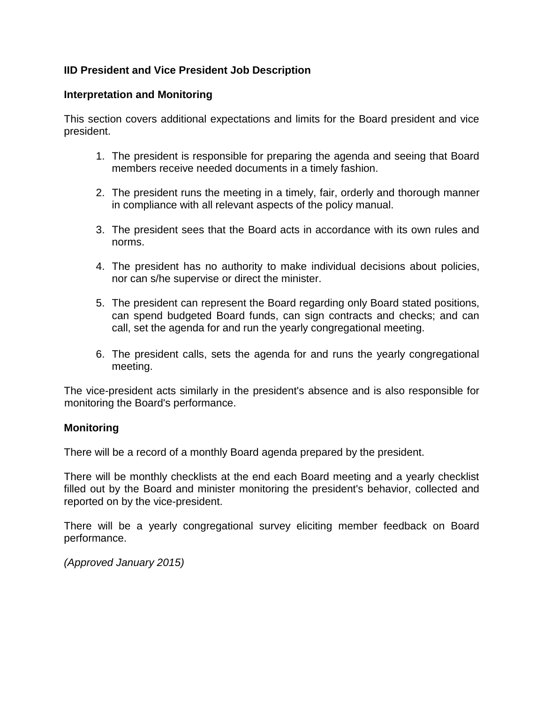## **IID President and Vice President Job Description**

### **Interpretation and Monitoring**

This section covers additional expectations and limits for the Board president and vice president.

- 1. The president is responsible for preparing the agenda and seeing that Board members receive needed documents in a timely fashion.
- 2. The president runs the meeting in a timely, fair, orderly and thorough manner in compliance with all relevant aspects of the policy manual.
- 3. The president sees that the Board acts in accordance with its own rules and norms.
- 4. The president has no authority to make individual decisions about policies, nor can s/he supervise or direct the minister.
- 5. The president can represent the Board regarding only Board stated positions, can spend budgeted Board funds, can sign contracts and checks; and can call, set the agenda for and run the yearly congregational meeting.
- 6. The president calls, sets the agenda for and runs the yearly congregational meeting.

The vice-president acts similarly in the president's absence and is also responsible for monitoring the Board's performance.

#### **Monitoring**

There will be a record of a monthly Board agenda prepared by the president.

There will be monthly checklists at the end each Board meeting and a yearly checklist filled out by the Board and minister monitoring the president's behavior, collected and reported on by the vice-president.

There will be a yearly congregational survey eliciting member feedback on Board performance.

*(Approved January 2015)*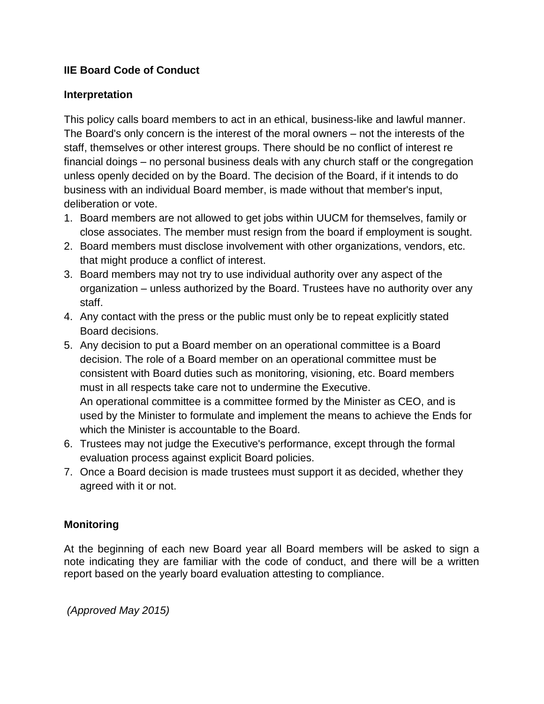## **IIE Board Code of Conduct**

### **Interpretation**

This policy calls board members to act in an ethical, business-like and lawful manner. The Board's only concern is the interest of the moral owners – not the interests of the staff, themselves or other interest groups. There should be no conflict of interest re financial doings – no personal business deals with any church staff or the congregation unless openly decided on by the Board. The decision of the Board, if it intends to do business with an individual Board member, is made without that member's input, deliberation or vote.

- 1. Board members are not allowed to get jobs within UUCM for themselves, family or close associates. The member must resign from the board if employment is sought.
- 2. Board members must disclose involvement with other organizations, vendors, etc. that might produce a conflict of interest.
- 3. Board members may not try to use individual authority over any aspect of the organization – unless authorized by the Board. Trustees have no authority over any staff.
- 4. Any contact with the press or the public must only be to repeat explicitly stated Board decisions.
- 5. Any decision to put a Board member on an operational committee is a Board decision. The role of a Board member on an operational committee must be consistent with Board duties such as monitoring, visioning, etc. Board members must in all respects take care not to undermine the Executive. An operational committee is a committee formed by the Minister as CEO, and is used by the Minister to formulate and implement the means to achieve the Ends for which the Minister is accountable to the Board.
- 6. Trustees may not judge the Executive's performance, except through the formal evaluation process against explicit Board policies.
- 7. Once a Board decision is made trustees must support it as decided, whether they agreed with it or not.

## **Monitoring**

At the beginning of each new Board year all Board members will be asked to sign a note indicating they are familiar with the code of conduct, and there will be a written report based on the yearly board evaluation attesting to compliance.

*(Approved May 2015)*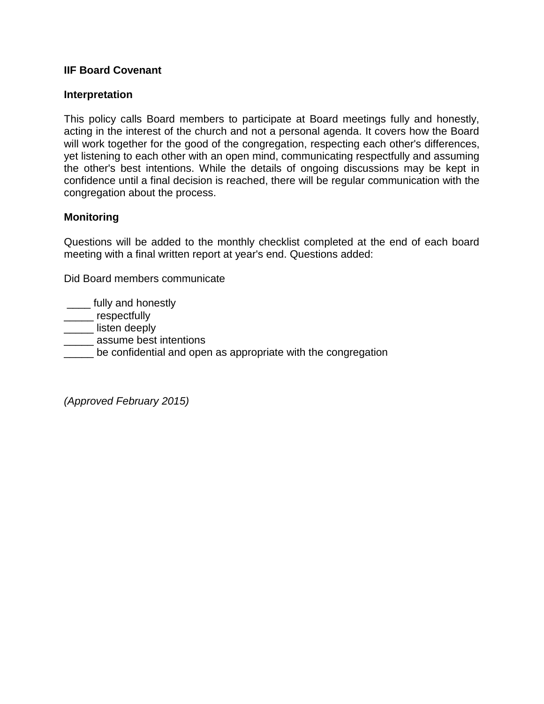### **IIF Board Covenant**

#### **Interpretation**

This policy calls Board members to participate at Board meetings fully and honestly, acting in the interest of the church and not a personal agenda. It covers how the Board will work together for the good of the congregation, respecting each other's differences, yet listening to each other with an open mind, communicating respectfully and assuming the other's best intentions. While the details of ongoing discussions may be kept in confidence until a final decision is reached, there will be regular communication with the congregation about the process.

#### **Monitoring**

Questions will be added to the monthly checklist completed at the end of each board meeting with a final written report at year's end. Questions added:

Did Board members communicate

**\_\_\_\_** fully and honestly

\_\_\_\_\_ respectfully

\_\_\_\_\_ listen deeply

**\_\_\_\_\_** assume best intentions

**EXECT** be confidential and open as appropriate with the congregation

*(Approved February 2015)*